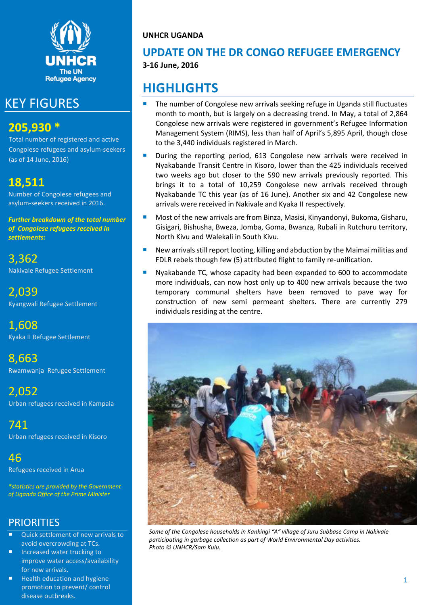

# KEY FIGURES

# **205,930 \***

Total number of registered and active Congolese refugees and asylum-seekers (as of 14 June, 2016)

# **18,511**

Number of Congolese refugees and asylum-seekers received in 2016.

*Further breakdown of the total number of Congolese refugees received in settlements:* 

3,362 Nakivale Refugee Settlement

2,039 Kyangwali Refugee Settlement

1,608 Kyaka II Refugee Settlement

8,663 Rwamwanja Refugee Settlement

2,052 Urban refugees received in Kampala

741 Urban refugees received in Kisoro

46 Refugees received in Arua

*\*statistics are provided by the Government of Uganda Office of the Prime Minister*

# **PRIORITIES**

- Quick settlement of new arrivals to avoid overcrowding at TCs.
- **Increased water trucking to** improve water access/availability for new arrivals.
- Health education and hygiene promotion to prevent/ control disease outbreaks.

**UNHCR UGANDA**

### **UPDATE ON THE DR CONGO REFUGEE EMERGENCY 3-16 June, 2016**

# **HIGHLIGHTS**

- The number of Congolese new arrivals seeking refuge in Uganda still fluctuates month to month, but is largely on a decreasing trend. In May, a total of 2,864 Congolese new arrivals were registered in government's Refugee Information Management System (RIMS), less than half of April's 5,895 April, though close to the 3,440 individuals registered in March.
- During the reporting period, 613 Congolese new arrivals were received in Nyakabande Transit Centre in Kisoro, lower than the 425 individuals received two weeks ago but closer to the 590 new arrivals previously reported. This brings it to a total of 10,259 Congolese new arrivals received through Nyakabande TC this year (as of 16 June). Another six and 42 Congolese new arrivals were received in Nakivale and Kyaka II respectively.
- Most of the new arrivals are from Binza, Masisi, Kinyandonyi, Bukoma, Gisharu, Gisigari, Bishusha, Bweza, Jomba, Goma, Bwanza, Rubali in Rutchuru territory, North Kivu and Walekali in South Kivu.
- New arrivals still report looting, killing and abduction by the Maimai militias and FDLR rebels though few (5) attributed flight to family re-unification.
- Nyakabande TC, whose capacity had been expanded to 600 to accommodate more individuals, can now host only up to 400 new arrivals because the two temporary communal shelters have been removed to pave way for construction of new semi permeant shelters. There are currently 279 individuals residing at the centre.



*Some of the Congolese households in Kankingi "A" village of Juru Subbase Camp in Nakivale participating in garbage collection as part of World Environmental Day activities. Photo © UNHCR/Sam Kulu.*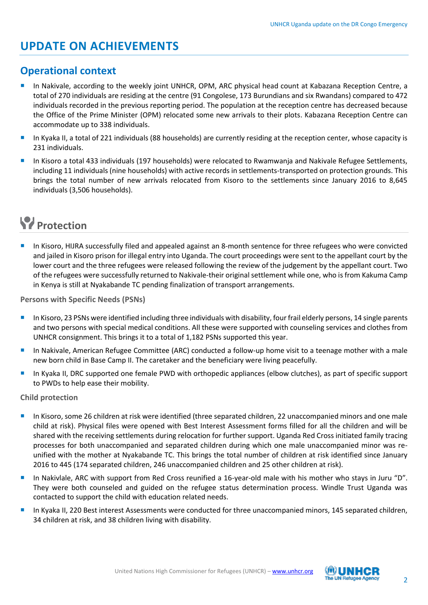# **UPDATE ON ACHIEVEMENTS**

### **Operational context**

- In Nakivale, according to the weekly joint UNHCR, OPM, ARC physical head count at Kabazana Reception Centre, a total of 270 individuals are residing at the centre (91 Congolese, 173 Burundians and six Rwandans) compared to 472 individuals recorded in the previous reporting period. The population at the reception centre has decreased because the Office of the Prime Minister (OPM) relocated some new arrivals to their plots. Kabazana Reception Centre can accommodate up to 338 individuals.
- In Kyaka II, a total of 221 individuals (88 households) are currently residing at the reception center, whose capacity is 231 individuals.
- In Kisoro a total 433 individuals (197 households) were relocated to Rwamwanja and Nakivale Refugee Settlements, including 11 individuals (nine households) with active records in settlements-transported on protection grounds. This brings the total number of new arrivals relocated from Kisoro to the settlements since January 2016 to 8,645 individuals (3,506 households).

# **Protection**

 In Kisoro, HIJRA successfully filed and appealed against an 8-month sentence for three refugees who were convicted and jailed in Kisoro prison for illegal entry into Uganda. The court proceedings were sent to the appellant court by the lower court and the three refugees were released following the review of the judgement by the appellant court. Two of the refugees were successfully returned to Nakivale-their original settlement while one, who is from Kakuma Camp in Kenya is still at Nyakabande TC pending finalization of transport arrangements.

**Persons with Specific Needs (PSNs)**

- In Kisoro, 23 PSNs were identified including three individuals with disability, four frail elderly persons, 14 single parents and two persons with special medical conditions. All these were supported with counseling services and clothes from UNHCR consignment. This brings it to a total of 1,182 PSNs supported this year.
- In Nakivale, American Refugee Committee (ARC) conducted a follow-up home visit to a teenage mother with a male new born child in Base Camp II. The caretaker and the beneficiary were living peacefully.
- In Kyaka II, DRC supported one female PWD with orthopedic appliances (elbow clutches), as part of specific support to PWDs to help ease their mobility.

#### **Child protection**

- In Kisoro, some 26 children at risk were identified (three separated children, 22 unaccompanied minors and one male child at risk). Physical files were opened with Best Interest Assessment forms filled for all the children and will be shared with the receiving settlements during relocation for further support. Uganda Red Cross initiated family tracing processes for both unaccompanied and separated children during which one male unaccompanied minor was reunified with the mother at Nyakabande TC. This brings the total number of children at risk identified since January 2016 to 445 (174 separated children, 246 unaccompanied children and 25 other children at risk).
- In Nakivlale, ARC with support from Red Cross reunified a 16-year-old male with his mother who stays in Juru "D". They were both counseled and guided on the refugee status determination process. Windle Trust Uganda was contacted to support the child with education related needs.
- In Kyaka II, 220 Best interest Assessments were conducted for three unaccompanied minors, 145 separated children, 34 children at risk, and 38 children living with disability.

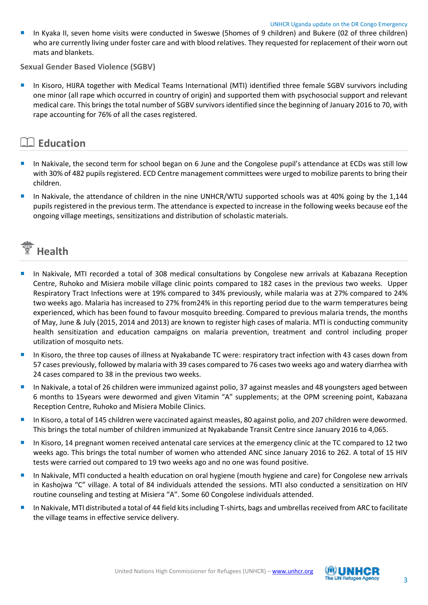In Kyaka II, seven home visits were conducted in Sweswe (5homes of 9 children) and Bukere (02 of three children) who are currently living under foster care and with blood relatives. They requested for replacement of their worn out mats and blankets.

**Sexual Gender Based Violence (SGBV)**

 In Kisoro, HIJRA together with Medical Teams International (MTI) identified three female SGBV survivors including one minor (all rape which occurred in country of origin) and supported them with psychosocial support and relevant medical care. This brings the total number of SGBV survivors identified since the beginning of January 2016 to 70, with rape accounting for 76% of all the cases registered.

### **Education**

- In Nakivale, the second term for school began on 6 June and the Congolese pupil's attendance at ECDs was still low with 30% of 482 pupils registered. ECD Centre management committees were urged to mobilize parents to bring their children.
- In Nakivale, the attendance of children in the nine UNHCR/WTU supported schools was at 40% going by the 1,144 pupils registered in the previous term. The attendance is expected to increase in the following weeks because eof the ongoing village meetings, sensitizations and distribution of scholastic materials.



- In Nakivale, MTI recorded a total of 308 medical consultations by Congolese new arrivals at Kabazana Reception Centre, Ruhoko and Misiera mobile village clinic points compared to 182 cases in the previous two weeks. Upper Respiratory Tract Infections were at 19% compared to 34% previously, while malaria was at 27% compared to 24% two weeks ago. Malaria has increased to 27% from24% in this reporting period due to the warm temperatures being experienced, which has been found to favour mosquito breeding. Compared to previous malaria trends, the months of May, June & July (2015, 2014 and 2013) are known to register high cases of malaria. MTI is conducting community health sensitization and education campaigns on malaria prevention, treatment and control including proper utilization of mosquito nets.
- In Kisoro, the three top causes of illness at Nyakabande TC were: respiratory tract infection with 43 cases down from 57 cases previously, followed by malaria with 39 cases compared to 76 cases two weeks ago and watery diarrhea with 24 cases compared to 38 in the previous two weeks.
- In Nakivale, a total of 26 children were immunized against polio, 37 against measles and 48 youngsters aged between 6 months to 15years were dewormed and given Vitamin "A" supplements; at the OPM screening point, Kabazana Reception Centre, Ruhoko and Misiera Mobile Clinics.
- In Kisoro, a total of 145 children were vaccinated against measles, 80 against polio, and 207 children were dewormed. This brings the total number of children immunized at Nyakabande Transit Centre since January 2016 to 4,065.
- In Kisoro, 14 pregnant women received antenatal care services at the emergency clinic at the TC compared to 12 two weeks ago. This brings the total number of women who attended ANC since January 2016 to 262. A total of 15 HIV tests were carried out compared to 19 two weeks ago and no one was found positive.
- In Nakivale, MTI conducted a health education on oral hygiene (mouth hygiene and care) for Congolese new arrivals in Kashojwa "C" village. A total of 84 individuals attended the sessions. MTI also conducted a sensitization on HIV routine counseling and testing at Misiera "A". Some 60 Congolese individuals attended.
- In Nakivale, MTI distributed a total of 44 field kits including T-shirts, bags and umbrellas received from ARC to facilitate the village teams in effective service delivery.

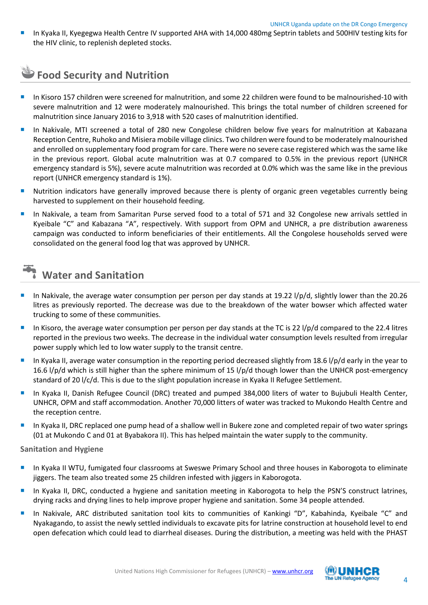In Kyaka II, Kyegegwa Health Centre IV supported AHA with 14,000 480mg Septrin tablets and 500HIV testing kits for the HIV clinic, to replenish depleted stocks.

# **Food Security and Nutrition**

- In Kisoro 157 children were screened for malnutrition, and some 22 children were found to be malnourished-10 with severe malnutrition and 12 were moderately malnourished. This brings the total number of children screened for malnutrition since January 2016 to 3,918 with 520 cases of malnutrition identified.
- In Nakivale, MTI screened a total of 280 new Congolese children below five years for malnutrition at Kabazana Reception Centre, Ruhoko and Misiera mobile village clinics. Two children were found to be moderately malnourished and enrolled on supplementary food program for care. There were no severe case registered which was the same like in the previous report. Global acute malnutrition was at 0.7 compared to 0.5% in the previous report (UNHCR emergency standard is 5%), severe acute malnutrition was recorded at 0.0% which was the same like in the previous report (UNHCR emergency standard is 1%).
- Nutrition indicators have generally improved because there is plenty of organic green vegetables currently being harvested to supplement on their household feeding.
- In Nakivale, a team from Samaritan Purse served food to a total of 571 and 32 Congolese new arrivals settled in Kyeibale "C" and Kabazana "A", respectively. With support from OPM and UNHCR, a pre distribution awareness campaign was conducted to inform beneficiaries of their entitlements. All the Congolese households served were consolidated on the general food log that was approved by UNHCR.

# **Water and Sanitation**

- In Nakivale, the average water consumption per person per day stands at 19.22 l/p/d, slightly lower than the 20.26 litres as previously reported. The decrease was due to the breakdown of the water bowser which affected water trucking to some of these communities.
- In Kisoro, the average water consumption per person per day stands at the TC is 22  $1/p/d$  compared to the 22.4 litres reported in the previous two weeks. The decrease in the individual water consumption levels resulted from irregular power supply which led to low water supply to the transit centre.
- In Kyaka II, average water consumption in the reporting period decreased slightly from 18.6 l/p/d early in the year to 16.6 l/p/d which is still higher than the sphere minimum of 15 l/p/d though lower than the UNHCR post-emergency standard of 20 l/c/d. This is due to the slight population increase in Kyaka II Refugee Settlement.
- In Kyaka II, Danish Refugee Council (DRC) treated and pumped 384,000 liters of water to Bujubuli Health Center, UNHCR, OPM and staff accommodation. Another 70,000 litters of water was tracked to Mukondo Health Centre and the reception centre.
- In Kyaka II, DRC replaced one pump head of a shallow well in Bukere zone and completed repair of two water springs (01 at Mukondo C and 01 at Byabakora II). This has helped maintain the water supply to the community.

**Sanitation and Hygiene**

- In Kyaka II WTU, fumigated four classrooms at Sweswe Primary School and three houses in Kaborogota to eliminate jiggers. The team also treated some 25 children infested with jiggers in Kaborogota.
- In Kyaka II, DRC, conducted a hygiene and sanitation meeting in Kaborogota to help the PSN'S construct latrines, drying racks and drying lines to help improve proper hygiene and sanitation. Some 34 people attended.
- In Nakivale, ARC distributed sanitation tool kits to communities of Kankingi "D", Kabahinda, Kyeibale "C" and Nyakagando, to assist the newly settled individuals to excavate pits for latrine construction at household level to end open defecation which could lead to diarrheal diseases. During the distribution, a meeting was held with the PHAST

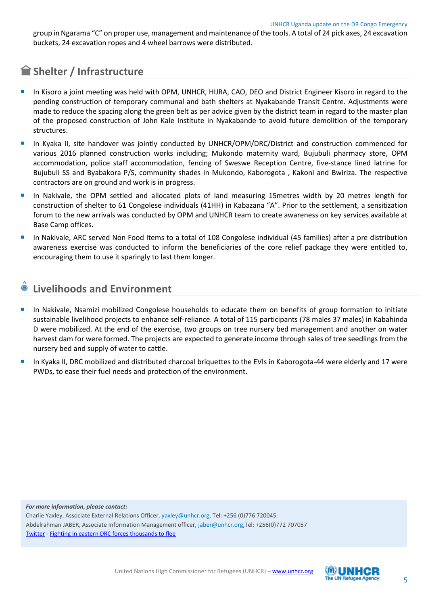group in Ngarama "C" on proper use, management and maintenance of the tools. A total of 24 pick axes, 24 excavation buckets, 24 excavation ropes and 4 wheel barrows were distributed.

## **Shelter / Infrastructure**

- In Kisoro a joint meeting was held with OPM, UNHCR, HIJRA, CAO, DEO and District Engineer Kisoro in regard to the pending construction of temporary communal and bath shelters at Nyakabande Transit Centre. Adjustments were made to reduce the spacing along the green belt as per advice given by the district team in regard to the master plan of the proposed construction of John Kale Institute in Nyakabande to avoid future demolition of the temporary structures.
- In Kyaka II, site handover was jointly conducted by UNHCR/OPM/DRC/District and construction commenced for various 2016 planned construction works including; Mukondo maternity ward, Bujubuli pharmacy store, OPM accommodation, police staff accommodation, fencing of Sweswe Reception Centre, five-stance lined latrine for Bujubuli SS and Byabakora P/S, community shades in Mukondo, Kaborogota , Kakoni and Bwiriza. The respective contractors are on ground and work is in progress.
- In Nakivale, the OPM settled and allocated plots of land measuring 15metres width by 20 metres length for construction of shelter to 61 Congolese individuals (41HH) in Kabazana "A". Prior to the settlement, a sensitization forum to the new arrivals was conducted by OPM and UNHCR team to create awareness on key services available at Base Camp offices.
- In Nakivale, ARC served Non Food Items to a total of 108 Congolese individual (45 families) after a pre distribution awareness exercise was conducted to inform the beneficiaries of the core relief package they were entitled to, encouraging them to use it sparingly to last them longer.

### **Livelihoods and Environment**

- In Nakivale, Nsamizi mobilized Congolese households to educate them on benefits of group formation to initiate sustainable livelihood projects to enhance self-reliance. A total of 115 participants (78 males 37 males) in Kabahinda D were mobilized. At the end of the exercise, two groups on tree nursery bed management and another on water harvest dam for were formed. The projects are expected to generate income through sales of tree seedlings from the nursery bed and supply of water to cattle.
- In Kyaka II, DRC mobilized and distributed charcoal briquettes to the EVIs in Kaborogota-44 were elderly and 17 were PWDs, to ease their fuel needs and protection of the environment.

*For more information, please contact:* Charlie Yaxley, Associate External Relations Officer, [yaxley@unhcr.org,](mailto:yaxley@unhcr.org) Tel: +256 (0)776 720045 Abdelrahman JABER, Associate Information Management officer, [jaber@unhcr.org,](mailto:jaber@unhcr.org)Tel: +256(0)772 707057 [Twitter](https://twitter.com/yaxle) - [Fighting in eastern DRC forces thousands to flee](http://www.unhcr.org/56ab5d576.html)